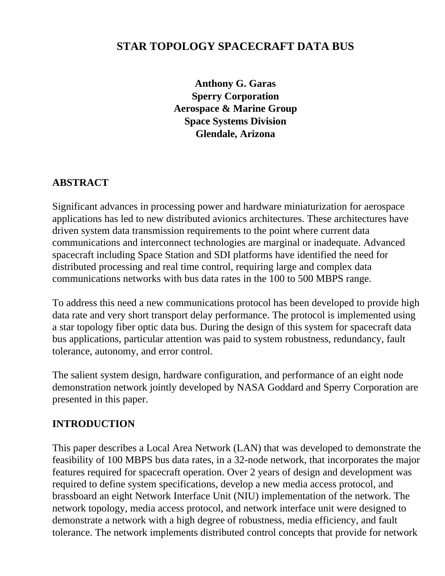## **STAR TOPOLOGY SPACECRAFT DATA BUS**

**Anthony G. Garas Sperry Corporation Aerospace & Marine Group Space Systems Division Glendale, Arizona**

#### **ABSTRACT**

Significant advances in processing power and hardware miniaturization for aerospace applications has led to new distributed avionics architectures. These architectures have driven system data transmission requirements to the point where current data communications and interconnect technologies are marginal or inadequate. Advanced spacecraft including Space Station and SDI platforms have identified the need for distributed processing and real time control, requiring large and complex data communications networks with bus data rates in the 100 to 500 MBPS range.

To address this need a new communications protocol has been developed to provide high data rate and very short transport delay performance. The protocol is implemented using a star topology fiber optic data bus. During the design of this system for spacecraft data bus applications, particular attention was paid to system robustness, redundancy, fault tolerance, autonomy, and error control.

The salient system design, hardware configuration, and performance of an eight node demonstration network jointly developed by NASA Goddard and Sperry Corporation are presented in this paper.

#### **INTRODUCTION**

This paper describes a Local Area Network (LAN) that was developed to demonstrate the feasibility of 100 MBPS bus data rates, in a 32-node network, that incorporates the major features required for spacecraft operation. Over 2 years of design and development was required to define system specifications, develop a new media access protocol, and brassboard an eight Network Interface Unit (NIU) implementation of the network. The network topology, media access protocol, and network interface unit were designed to demonstrate a network with a high degree of robustness, media efficiency, and fault tolerance. The network implements distributed control concepts that provide for network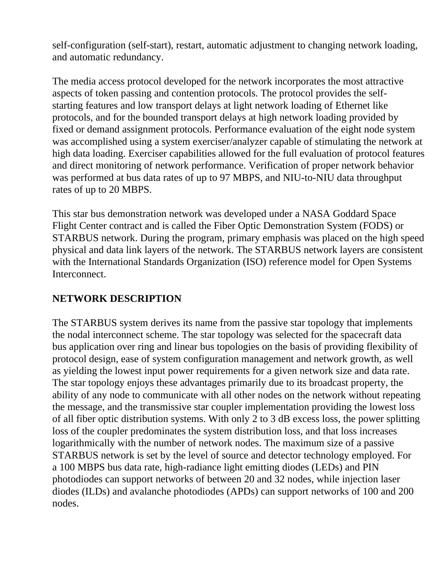self-configuration (self-start), restart, automatic adjustment to changing network loading, and automatic redundancy.

The media access protocol developed for the network incorporates the most attractive aspects of token passing and contention protocols. The protocol provides the selfstarting features and low transport delays at light network loading of Ethernet like protocols, and for the bounded transport delays at high network loading provided by fixed or demand assignment protocols. Performance evaluation of the eight node system was accomplished using a system exerciser/analyzer capable of stimulating the network at high data loading. Exerciser capabilities allowed for the full evaluation of protocol features and direct monitoring of network performance. Verification of proper network behavior was performed at bus data rates of up to 97 MBPS, and NIU-to-NIU data throughput rates of up to 20 MBPS.

This star bus demonstration network was developed under a NASA Goddard Space Flight Center contract and is called the Fiber Optic Demonstration System (FODS) or STARBUS network. During the program, primary emphasis was placed on the high speed physical and data link layers of the network. The STARBUS network layers are consistent with the International Standards Organization (ISO) reference model for Open Systems Interconnect.

### **NETWORK DESCRIPTION**

The STARBUS system derives its name from the passive star topology that implements the nodal interconnect scheme. The star topology was selected for the spacecraft data bus application over ring and linear bus topologies on the basis of providing flexibility of protocol design, ease of system configuration management and network growth, as well as yielding the lowest input power requirements for a given network size and data rate. The star topology enjoys these advantages primarily due to its broadcast property, the ability of any node to communicate with all other nodes on the network without repeating the message, and the transmissive star coupler implementation providing the lowest loss of all fiber optic distribution systems. With only 2 to 3 dB excess loss, the power splitting loss of the coupler predominates the system distribution loss, and that loss increases logarithmically with the number of network nodes. The maximum size of a passive STARBUS network is set by the level of source and detector technology employed. For a 100 MBPS bus data rate, high-radiance light emitting diodes (LEDs) and PIN photodiodes can support networks of between 20 and 32 nodes, while injection laser diodes (ILDs) and avalanche photodiodes (APDs) can support networks of 100 and 200 nodes.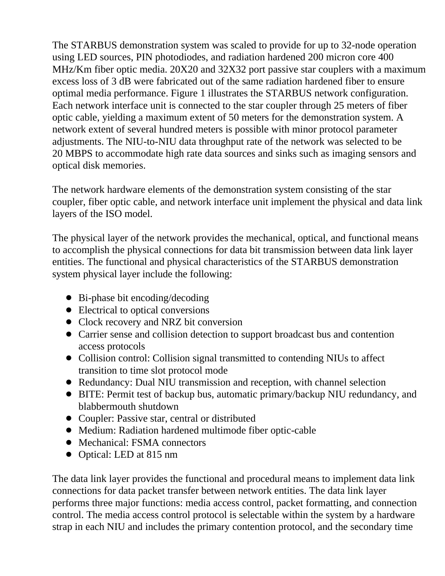The STARBUS demonstration system was scaled to provide for up to 32-node operation using LED sources, PIN photodiodes, and radiation hardened 200 micron core 400 MHz/Km fiber optic media. 20X20 and 32X32 port passive star couplers with a maximum excess loss of 3 dB were fabricated out of the same radiation hardened fiber to ensure optimal media performance. Figure 1 illustrates the STARBUS network configuration. Each network interface unit is connected to the star coupler through 25 meters of fiber optic cable, yielding a maximum extent of 50 meters for the demonstration system. A network extent of several hundred meters is possible with minor protocol parameter adjustments. The NIU-to-NIU data throughput rate of the network was selected to be 20 MBPS to accommodate high rate data sources and sinks such as imaging sensors and optical disk memories.

The network hardware elements of the demonstration system consisting of the star coupler, fiber optic cable, and network interface unit implement the physical and data link layers of the ISO model.

The physical layer of the network provides the mechanical, optical, and functional means to accomplish the physical connections for data bit transmission between data link layer entities. The functional and physical characteristics of the STARBUS demonstration system physical layer include the following:

- Bi-phase bit encoding/decoding
- Electrical to optical conversions
- Clock recovery and NRZ bit conversion
- Carrier sense and collision detection to support broadcast bus and contention access protocols
- Collision control: Collision signal transmitted to contending NIUs to affect transition to time slot protocol mode
- ! Redundancy: Dual NIU transmission and reception, with channel selection
- ! BITE: Permit test of backup bus, automatic primary/backup NIU redundancy, and blabbermouth shutdown
- Coupler: Passive star, central or distributed
- ! Medium: Radiation hardened multimode fiber optic-cable
- Mechanical: FSMA connectors
- Optical: LED at 815 nm

The data link layer provides the functional and procedural means to implement data link connections for data packet transfer between network entities. The data link layer performs three major functions: media access control, packet formatting, and connection control. The media access control protocol is selectable within the system by a hardware strap in each NIU and includes the primary contention protocol, and the secondary time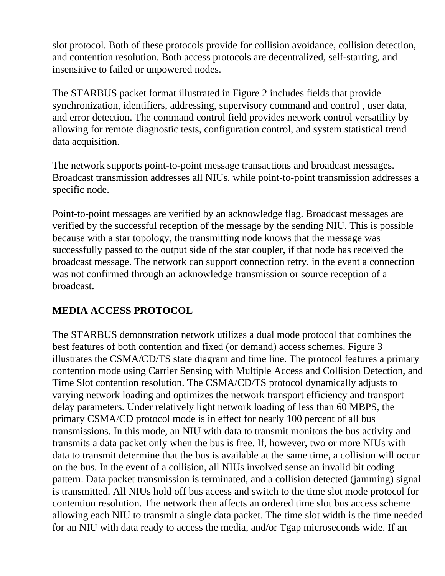slot protocol. Both of these protocols provide for collision avoidance, collision detection, and contention resolution. Both access protocols are decentralized, self-starting, and insensitive to failed or unpowered nodes.

The STARBUS packet format illustrated in Figure 2 includes fields that provide synchronization, identifiers, addressing, supervisory command and control , user data, and error detection. The command control field provides network control versatility by allowing for remote diagnostic tests, configuration control, and system statistical trend data acquisition.

The network supports point-to-point message transactions and broadcast messages. Broadcast transmission addresses all NIUs, while point-to-point transmission addresses a specific node.

Point-to-point messages are verified by an acknowledge flag. Broadcast messages are verified by the successful reception of the message by the sending NIU. This is possible because with a star topology, the transmitting node knows that the message was successfully passed to the output side of the star coupler, if that node has received the broadcast message. The network can support connection retry, in the event a connection was not confirmed through an acknowledge transmission or source reception of a broadcast.

# **MEDIA ACCESS PROTOCOL**

The STARBUS demonstration network utilizes a dual mode protocol that combines the best features of both contention and fixed (or demand) access schemes. Figure 3 illustrates the CSMA/CD/TS state diagram and time line. The protocol features a primary contention mode using Carrier Sensing with Multiple Access and Collision Detection, and Time Slot contention resolution. The CSMA/CD/TS protocol dynamically adjusts to varying network loading and optimizes the network transport efficiency and transport delay parameters. Under relatively light network loading of less than 60 MBPS, the primary CSMA/CD protocol mode is in effect for nearly 100 percent of all bus transmissions. In this mode, an NIU with data to transmit monitors the bus activity and transmits a data packet only when the bus is free. If, however, two or more NIUs with data to transmit determine that the bus is available at the same time, a collision will occur on the bus. In the event of a collision, all NIUs involved sense an invalid bit coding pattern. Data packet transmission is terminated, and a collision detected (jamming) signal is transmitted. All NIUs hold off bus access and switch to the time slot mode protocol for contention resolution. The network then affects an ordered time slot bus access scheme allowing each NIU to transmit a single data packet. The time slot width is the time needed for an NIU with data ready to access the media, and/or Tgap microseconds wide. If an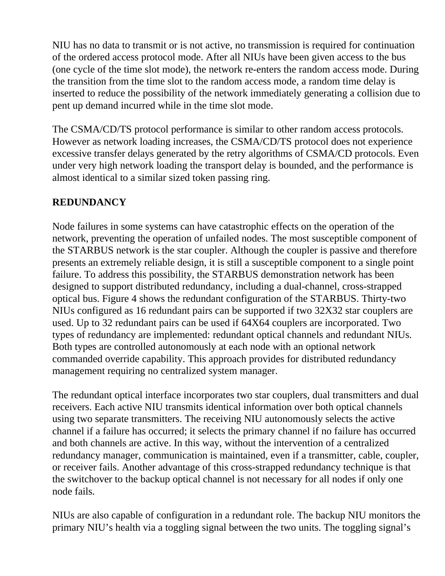NIU has no data to transmit or is not active, no transmission is required for continuation of the ordered access protocol mode. After all NIUs have been given access to the bus (one cycle of the time slot mode), the network re-enters the random access mode. During the transition from the time slot to the random access mode, a random time delay is inserted to reduce the possibility of the network immediately generating a collision due to pent up demand incurred while in the time slot mode.

The CSMA/CD/TS protocol performance is similar to other random access protocols. However as network loading increases, the CSMA/CD/TS protocol does not experience excessive transfer delays generated by the retry algorithms of CSMA/CD protocols. Even under very high network loading the transport delay is bounded, and the performance is almost identical to a similar sized token passing ring.

#### **REDUNDANCY**

Node failures in some systems can have catastrophic effects on the operation of the network, preventing the operation of unfailed nodes. The most susceptible component of the STARBUS network is the star coupler. Although the coupler is passive and therefore presents an extremely reliable design, it is still a susceptible component to a single point failure. To address this possibility, the STARBUS demonstration network has been designed to support distributed redundancy, including a dual-channel, cross-strapped optical bus. Figure 4 shows the redundant configuration of the STARBUS. Thirty-two NIUs configured as 16 redundant pairs can be supported if two 32X32 star couplers are used. Up to 32 redundant pairs can be used if 64X64 couplers are incorporated. Two types of redundancy are implemented: redundant optical channels and redundant NIUs. Both types are controlled autonomously at each node with an optional network commanded override capability. This approach provides for distributed redundancy management requiring no centralized system manager.

The redundant optical interface incorporates two star couplers, dual transmitters and dual receivers. Each active NIU transmits identical information over both optical channels using two separate transmitters. The receiving NIU autonomously selects the active channel if a failure has occurred; it selects the primary channel if no failure has occurred and both channels are active. In this way, without the intervention of a centralized redundancy manager, communication is maintained, even if a transmitter, cable, coupler, or receiver fails. Another advantage of this cross-strapped redundancy technique is that the switchover to the backup optical channel is not necessary for all nodes if only one node fails.

NIUs are also capable of configuration in a redundant role. The backup NIU monitors the primary NIU's health via a toggling signal between the two units. The toggling signal's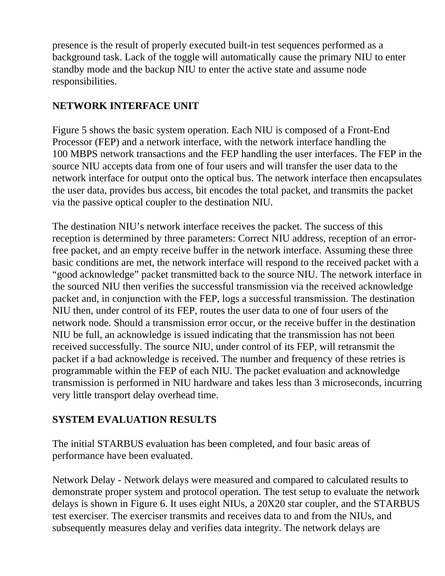presence is the result of properly executed built-in test sequences performed as a background task. Lack of the toggle will automatically cause the primary NIU to enter standby mode and the backup NIU to enter the active state and assume node responsibilities.

### **NETWORK INTERFACE UNIT**

Figure 5 shows the basic system operation. Each NIU is composed of a Front-End Processor (FEP) and a network interface, with the network interface handling the 100 MBPS network transactions and the FEP handling the user interfaces. The FEP in the source NIU accepts data from one of four users and will transfer the user data to the network interface for output onto the optical bus. The network interface then encapsulates the user data, provides bus access, bit encodes the total packet, and transmits the packet via the passive optical coupler to the destination NIU.

The destination NIU's network interface receives the packet. The success of this reception is determined by three parameters: Correct NIU address, reception of an errorfree packet, and an empty receive buffer in the network interface. Assuming these three basic conditions are met, the network interface will respond to the received packet with a "good acknowledge" packet transmitted back to the source NIU. The network interface in the sourced NIU then verifies the successful transmission via the received acknowledge packet and, in conjunction with the FEP, logs a successful transmission. The destination NIU then, under control of its FEP, routes the user data to one of four users of the network node. Should a transmission error occur, or the receive buffer in the destination NIU be full, an acknowledge is issued indicating that the transmission has not been received successfully. The source NIU, under control of its FEP, will retransmit the packet if a bad acknowledge is received. The number and frequency of these retries is programmable within the FEP of each NIU. The packet evaluation and acknowledge transmission is performed in NIU hardware and takes less than 3 microseconds, incurring very little transport delay overhead time.

### **SYSTEM EVALUATION RESULTS**

The initial STARBUS evaluation has been completed, and four basic areas of performance have been evaluated.

Network Delay - Network delays were measured and compared to calculated results to demonstrate proper system and protocol operation. The test setup to evaluate the network delays is shown in Figure 6. It uses eight NIUs, a 20X20 star coupler, and the STARBUS test exerciser. The exerciser transmits and receives data to and from the NIUs, and subsequently measures delay and verifies data integrity. The network delays are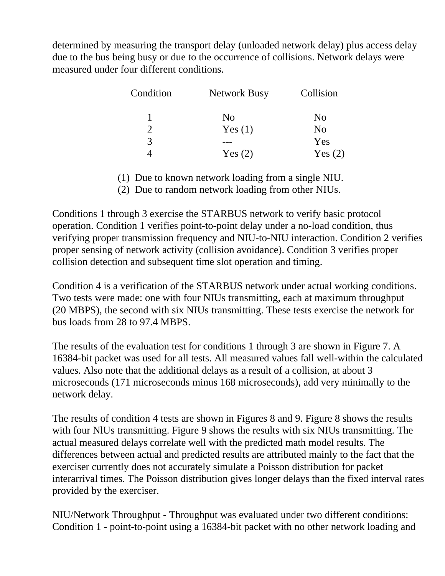determined by measuring the transport delay (unloaded network delay) plus access delay due to the bus being busy or due to the occurrence of collisions. Network delays were measured under four different conditions.

| Condition | <b>Network Busy</b> | Collision      |  |
|-----------|---------------------|----------------|--|
|           | N <sub>0</sub>      | N <sub>0</sub> |  |
|           | Yes $(1)$           | N <sub>0</sub> |  |
| 3         |                     | Yes            |  |
|           | Yes $(2)$           | Yes $(2)$      |  |

(1) Due to known network loading from a single NIU.

(2) Due to random network loading from other NIUs.

Conditions 1 through 3 exercise the STARBUS network to verify basic protocol operation. Condition 1 verifies point-to-point delay under a no-load condition, thus verifying proper transmission frequency and NIU-to-NIU interaction. Condition 2 verifies proper sensing of network activity (collision avoidance). Condition 3 verifies proper collision detection and subsequent time slot operation and timing.

Condition 4 is a verification of the STARBUS network under actual working conditions. Two tests were made: one with four NIUs transmitting, each at maximum throughput (20 MBPS), the second with six NIUs transmitting. These tests exercise the network for bus loads from 28 to 97.4 MBPS.

The results of the evaluation test for conditions 1 through 3 are shown in Figure 7. A 16384-bit packet was used for all tests. All measured values fall well-within the calculated values. Also note that the additional delays as a result of a collision, at about 3 microseconds (171 microseconds minus 168 microseconds), add very minimally to the network delay.

The results of condition 4 tests are shown in Figures 8 and 9. Figure 8 shows the results with four NlUs transmitting. Figure 9 shows the results with six NIUs transmitting. The actual measured delays correlate well with the predicted math model results. The differences between actual and predicted results are attributed mainly to the fact that the exerciser currently does not accurately simulate a Poisson distribution for packet interarrival times. The Poisson distribution gives longer delays than the fixed interval rates provided by the exerciser.

NIU/Network Throughput - Throughput was evaluated under two different conditions: Condition 1 - point-to-point using a 16384-bit packet with no other network loading and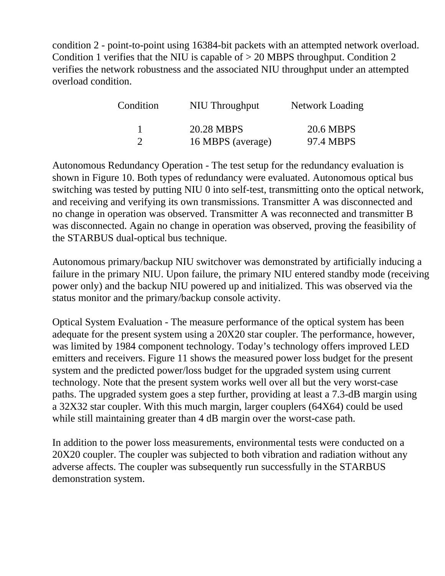condition 2 - point-to-point using 16384-bit packets with an attempted network overload. Condition 1 verifies that the NIU is capable of  $> 20$  MBPS throughput. Condition 2 verifies the network robustness and the associated NIU throughput under an attempted overload condition.

| Condition | NIU Throughput    | Network Loading |
|-----------|-------------------|-----------------|
|           | 20.28 MBPS        | 20.6 MBPS       |
| റ         | 16 MBPS (average) | 97.4 MBPS       |

Autonomous Redundancy Operation - The test setup for the redundancy evaluation is shown in Figure 10. Both types of redundancy were evaluated. Autonomous optical bus switching was tested by putting NIU 0 into self-test, transmitting onto the optical network, and receiving and verifying its own transmissions. Transmitter A was disconnected and no change in operation was observed. Transmitter A was reconnected and transmitter B was disconnected. Again no change in operation was observed, proving the feasibility of the STARBUS dual-optical bus technique.

Autonomous primary/backup NIU switchover was demonstrated by artificially inducing a failure in the primary NIU. Upon failure, the primary NIU entered standby mode (receiving power only) and the backup NIU powered up and initialized. This was observed via the status monitor and the primary/backup console activity.

Optical System Evaluation - The measure performance of the optical system has been adequate for the present system using a 20X20 star coupler. The performance, however, was limited by 1984 component technology. Today's technology offers improved LED emitters and receivers. Figure 11 shows the measured power loss budget for the present system and the predicted power/loss budget for the upgraded system using current technology. Note that the present system works well over all but the very worst-case paths. The upgraded system goes a step further, providing at least a 7.3-dB margin using a 32X32 star coupler. With this much margin, larger couplers (64X64) could be used while still maintaining greater than 4 dB margin over the worst-case path.

In addition to the power loss measurements, environmental tests were conducted on a 20X20 coupler. The coupler was subjected to both vibration and radiation without any adverse affects. The coupler was subsequently run successfully in the STARBUS demonstration system.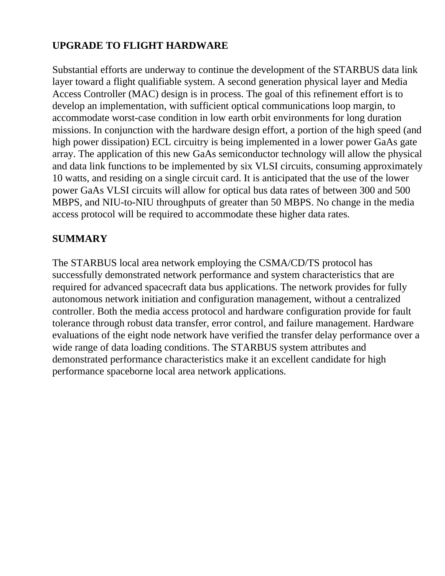# **UPGRADE TO FLIGHT HARDWARE**

Substantial efforts are underway to continue the development of the STARBUS data link layer toward a flight qualifiable system. A second generation physical layer and Media Access Controller (MAC) design is in process. The goal of this refinement effort is to develop an implementation, with sufficient optical communications loop margin, to accommodate worst-case condition in low earth orbit environments for long duration missions. In conjunction with the hardware design effort, a portion of the high speed (and high power dissipation) ECL circuitry is being implemented in a lower power GaAs gate array. The application of this new GaAs semiconductor technology will allow the physical and data link functions to be implemented by six VLSI circuits, consuming approximately 10 watts, and residing on a single circuit card. It is anticipated that the use of the lower power GaAs VLSI circuits will allow for optical bus data rates of between 300 and 500 MBPS, and NIU-to-NIU throughputs of greater than 50 MBPS. No change in the media access protocol will be required to accommodate these higher data rates.

### **SUMMARY**

The STARBUS local area network employing the CSMA/CD/TS protocol has successfully demonstrated network performance and system characteristics that are required for advanced spacecraft data bus applications. The network provides for fully autonomous network initiation and configuration management, without a centralized controller. Both the media access protocol and hardware configuration provide for fault tolerance through robust data transfer, error control, and failure management. Hardware evaluations of the eight node network have verified the transfer delay performance over a wide range of data loading conditions. The STARBUS system attributes and demonstrated performance characteristics make it an excellent candidate for high performance spaceborne local area network applications.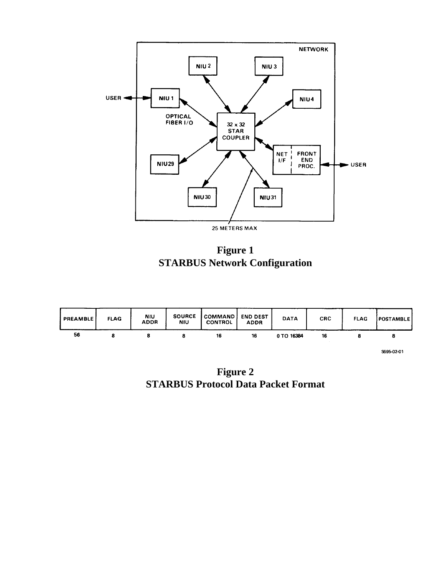

**Figure 1 STARBUS Network Configuration**



**Figure 2 STARBUS Protocol Data Packet Format**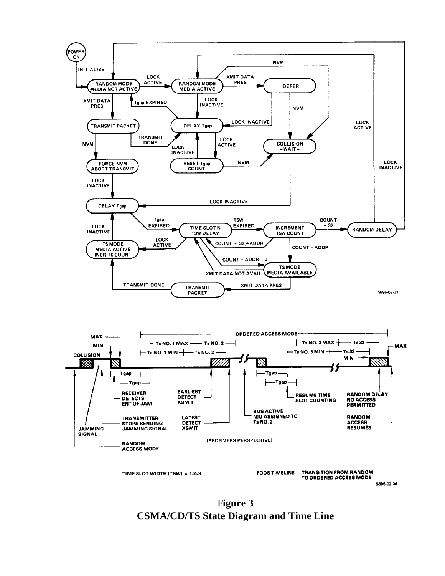

F**igure 3 CSMA/CD/TS State Diagram and Time Line**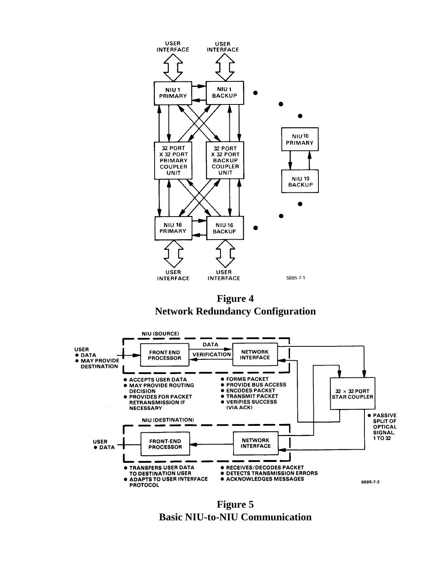

**Figure 4 Network Redundancy Configuration**



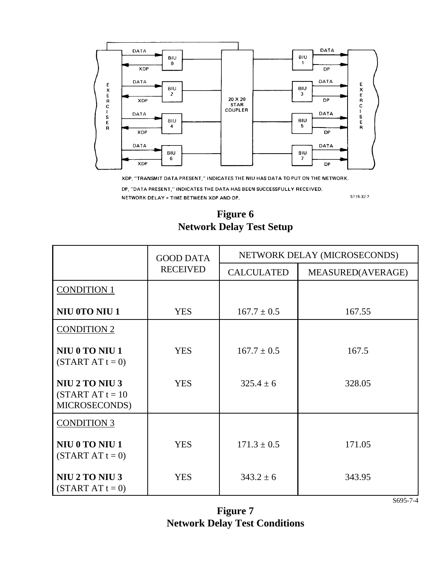

XDP, "TRANSMIT DATA PRESENT," INDICATES THE NIU HAS DATA TO PUT ON THE NETWORK.

DP, "DATA PRESENT," INDICATES THE DATA HAS BEEN SUCCESSFULLY RECEIVED.

NETWORK DELAY = TIME BETWEEN XDP AND DP.

\$715-32-7

#### **Figure 6 Network Delay Test Setup**

|                                                       | <b>GOOD DATA</b><br><b>RECEIVED</b> | NETWORK DELAY (MICROSECONDS) |                   |
|-------------------------------------------------------|-------------------------------------|------------------------------|-------------------|
|                                                       |                                     | <b>CALCULATED</b>            | MEASURED(AVERAGE) |
| <b>CONDITION 1</b>                                    |                                     |                              |                   |
| NIU 0TO NIU 1                                         | <b>YES</b>                          | $167.7 \pm 0.5$              | 167.55            |
| <b>CONDITION 2</b>                                    |                                     |                              |                   |
| NIU 0 TO NIU 1<br>$(START AT t = 0)$                  | <b>YES</b>                          | $167.7 \pm 0.5$              | 167.5             |
| NIU 2 TO NIU 3<br>$(START AT t = 10$<br>MICROSECONDS) | <b>YES</b>                          | $325.4 \pm 6$                | 328.05            |
| <b>CONDITION 3</b>                                    |                                     |                              |                   |
| NIU 0 TO NIU 1<br>$(STARTATt = 0)$                    | <b>YES</b>                          | $171.3 \pm 0.5$              | 171.05            |
| NIU 2 TO NIU 3<br>$(START AT t = 0)$                  | <b>YES</b>                          | $343.2 \pm 6$                | 343.95            |

**Figure 7 Network Delay Test Conditions**

S695-7-4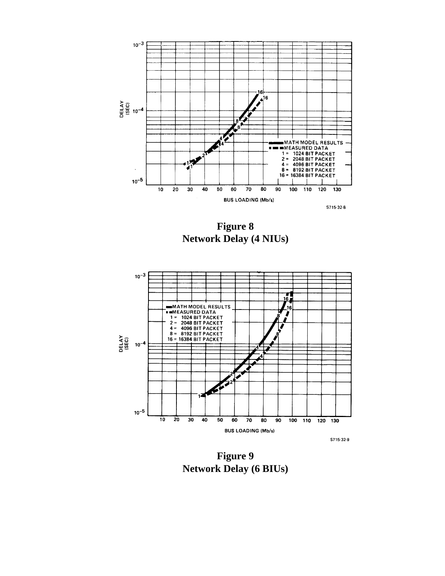

**Figure 8 Network Delay (4 NIUs)**



**Figure 9 Network Delay (6 BIUs)**